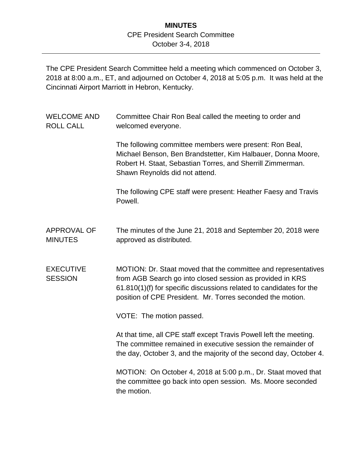## **MINUTES** CPE President Search Committee October 3-4, 2018

The CPE President Search Committee held a meeting which commenced on October 3, 2018 at 8:00 a.m., ET, and adjourned on October 4, 2018 at 5:05 p.m. It was held at the Cincinnati Airport Marriott in Hebron, Kentucky.

| <b>WELCOME AND</b><br><b>ROLL CALL</b> | Committee Chair Ron Beal called the meeting to order and<br>welcomed everyone.                                                                                                                                                                                   |
|----------------------------------------|------------------------------------------------------------------------------------------------------------------------------------------------------------------------------------------------------------------------------------------------------------------|
|                                        | The following committee members were present: Ron Beal,<br>Michael Benson, Ben Brandstetter, Kim Halbauer, Donna Moore,<br>Robert H. Staat, Sebastian Torres, and Sherrill Zimmerman.<br>Shawn Reynolds did not attend.                                          |
|                                        | The following CPE staff were present: Heather Faesy and Travis<br>Powell.                                                                                                                                                                                        |
| <b>APPROVAL OF</b><br><b>MINUTES</b>   | The minutes of the June 21, 2018 and September 20, 2018 were<br>approved as distributed.                                                                                                                                                                         |
| <b>EXECUTIVE</b><br><b>SESSION</b>     | MOTION: Dr. Staat moved that the committee and representatives<br>from AGB Search go into closed session as provided in KRS<br>61.810(1)(f) for specific discussions related to candidates for the<br>position of CPE President. Mr. Torres seconded the motion. |
|                                        | VOTE: The motion passed.                                                                                                                                                                                                                                         |
|                                        | At that time, all CPE staff except Travis Powell left the meeting.<br>The committee remained in executive session the remainder of<br>the day, October 3, and the majority of the second day, October 4.                                                         |
|                                        | MOTION: On October 4, 2018 at 5:00 p.m., Dr. Staat moved that<br>the committee go back into open session. Ms. Moore seconded<br>the motion.                                                                                                                      |